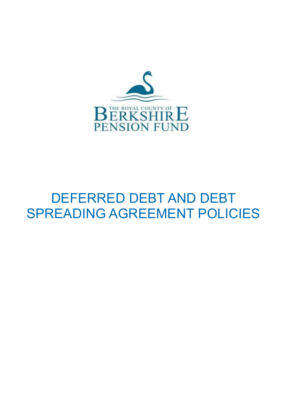

# DEFERRED DEBT AND DEBT SPREADING AGREEMENT POLICIES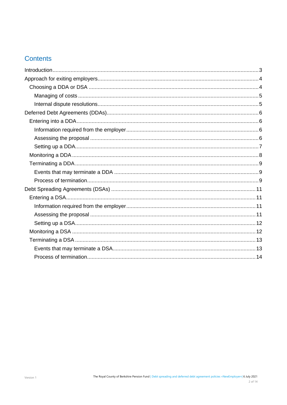## **Contents**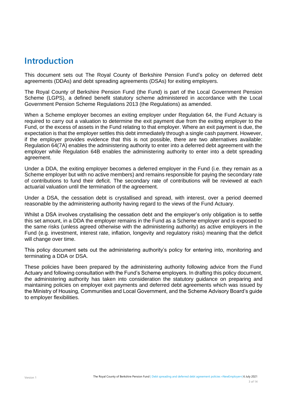## <span id="page-2-0"></span>**Introduction**

This document sets out The Royal County of Berkshire Pension Fund's policy on deferred debt agreements (DDAs) and debt spreading agreements (DSAs) for exiting employers.

The Royal County of Berkshire Pension Fund (the Fund) is part of the Local Government Pension Scheme (LGPS), a defined benefit statutory scheme administered in accordance with the Local Government Pension Scheme Regulations 2013 (the Regulations) as amended.

When a Scheme employer becomes an exiting employer under Regulation 64, the Fund Actuary is required to carry out a valuation to determine the exit payment due from the exiting employer to the Fund, or the excess of assets in the Fund relating to that employer. Where an exit payment is due, the expectation is that the employer settles this debt immediately through a single cash payment. However, if the employer provides evidence that this is not possible, there are two alternatives available: Regulation 64(7A) enables the administering authority to enter into a deferred debt agreement with the employer while Regulation 64B enables the administering authority to enter into a debt spreading agreement.

Under a DDA, the exiting employer becomes a deferred employer in the Fund (i.e. they remain as a Scheme employer but with no active members) and remains responsible for paying the secondary rate of contributions to fund their deficit. The secondary rate of contributions will be reviewed at each actuarial valuation until the termination of the agreement.

Under a DSA, the cessation debt is crystallised and spread, with interest, over a period deemed reasonable by the administering authority having regard to the views of the Fund Actuary.

Whilst a DSA involves crystallising the cessation debt and the employer's only obligation is to settle this set amount, in a DDA the employer remains in the Fund as a Scheme employer and is exposed to the same risks (unless agreed otherwise with the administering authority) as active employers in the Fund (e.g. investment, interest rate, inflation, longevity and regulatory risks) meaning that the deficit will change over time.

This policy document sets out the administering authority's policy for entering into, monitoring and terminating a DDA or DSA.

These policies have been prepared by the administering authority following advice from the Fund Actuary and following consultation with the Fund's Scheme employers. In drafting this policy document, the administering authority has taken into consideration the statutory guidance on preparing and maintaining policies on employer exit payments and deferred debt agreements which was issued by the Ministry of Housing, Communities and Local Government, and the Scheme Advisory Board's guide to employer flexibilities.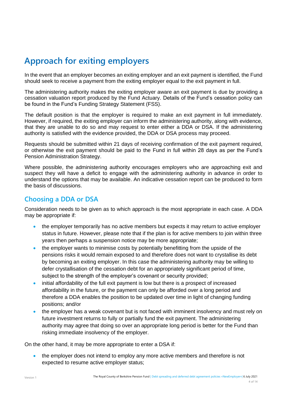## <span id="page-3-0"></span>**Approach for exiting employers**

In the event that an employer becomes an exiting employer and an exit payment is identified, the Fund should seek to receive a payment from the exiting employer equal to the exit payment in full.

The administering authority makes the exiting employer aware an exit payment is due by providing a cessation valuation report produced by the Fund Actuary. Details of the Fund's cessation policy can be found in the Fund's Funding Strategy Statement (FSS).

The default position is that the employer is required to make an exit payment in full immediately. However, if required, the exiting employer can inform the administering authority, along with evidence, that they are unable to do so and may request to enter either a DDA or DSA. If the administering authority is satisfied with the evidence provided, the DDA or DSA process may proceed.

Requests should be submitted within 21 days of receiving confirmation of the exit payment required, or otherwise the exit payment should be paid to the Fund in full within 28 days as per the Fund's Pension Administration Strategy.

Where possible, the administering authority encourages employers who are approaching exit and suspect they will have a deficit to engage with the administering authority in advance in order to understand the options that may be available. An indicative cessation report can be produced to form the basis of discussions.

## <span id="page-3-1"></span>**Choosing a DDA or DSA**

Consideration needs to be given as to which approach is the most appropriate in each case. A DDA may be appropriate if:

- the employer temporarily has no active members but expects it may return to active employer status in future. However, please note that if the plan is for active members to join within three years then perhaps a suspension notice may be more appropriate;
- the employer wants to minimise costs by potentially benefitting from the upside of the pensions risks it would remain exposed to and therefore does not want to crystallise its debt by becoming an exiting employer. In this case the administering authority may be willing to defer crystallisation of the cessation debt for an appropriately significant period of time, subject to the strength of the employer's covenant or security provided;
- initial affordability of the full exit payment is low but there is a prospect of increased affordability in the future, or the payment can only be afforded over a long period and therefore a DDA enables the position to be updated over time in light of changing funding positions; and/or
- the employer has a weak covenant but is not faced with imminent insolvency and must rely on future investment returns to fully or partially fund the exit payment. The administering authority may agree that doing so over an appropriate long period is better for the Fund than risking immediate insolvency of the employer.

On the other hand, it may be more appropriate to enter a DSA if:

• the employer does not intend to employ any more active members and therefore is not expected to resume active employer status;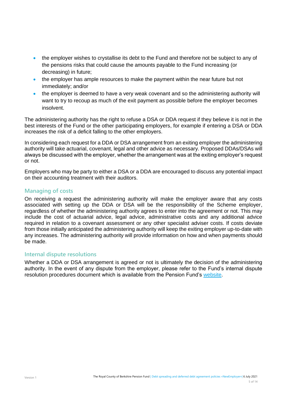- the employer wishes to crystallise its debt to the Fund and therefore not be subject to any of the pensions risks that could cause the amounts payable to the Fund increasing (or decreasing) in future;
- the employer has ample resources to make the payment within the near future but not immediately; and/or
- the employer is deemed to have a very weak covenant and so the administering authority will want to try to recoup as much of the exit payment as possible before the employer becomes insolvent.

The administering authority has the right to refuse a DSA or DDA request if they believe it is not in the best interests of the Fund or the other participating employers, for example if entering a DSA or DDA increases the risk of a deficit falling to the other employers.

In considering each request for a DDA or DSA arrangement from an exiting employer the administering authority will take actuarial, covenant, legal and other advice as necessary. Proposed DDAs/DSAs will always be discussed with the employer, whether the arrangement was at the exiting employer's request or not.

Employers who may be party to either a DSA or a DDA are encouraged to discuss any potential impact on their accounting treatment with their auditors.

## <span id="page-4-0"></span>**Managing of costs**

On receiving a request the administering authority will make the employer aware that any costs associated with setting up the DDA or DSA will be the responsibility of the Scheme employer, regardless of whether the administering authority agrees to enter into the agreement or not. This may include the cost of actuarial advice, legal advice, administrative costs and any additional advice required in relation to a covenant assessment or any other specialist adviser costs. If costs deviate from those initially anticipated the administering authority will keep the exiting employer up-to-date with any increases. The administering authority will provide information on how and when payments should be made.

## <span id="page-4-1"></span>**Internal dispute resolutions**

Whether a DDA or DSA arrangement is agreed or not is ultimately the decision of the administering authority. In the event of any dispute from the employer, please refer to the Fund's internal dispute resolution procedures document which is available from the Pension Fund's [website.](https://www.berkshirepensions.org.uk/bpf/about-fund/complaints-procedure)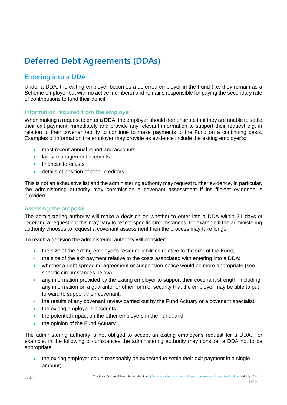## <span id="page-5-0"></span>**Deferred Debt Agreements (DDAs)**

## <span id="page-5-1"></span>**Entering into a DDA**

Under a DDA, the exiting employer becomes a deferred employer in the Fund (i.e. they remain as a Scheme employer but with no active members) and remains responsible for paying the secondary rate of contributions to fund their deficit.

## <span id="page-5-2"></span>**Information required from the employer**

When making a request to enter a DDA, the employer should demonstrate that they are unable to settle their exit payment immediately and provide any relevant information to support their request e.g. in relation to their covenant/ability to continue to make payments to the Fund on a continuing basis. Examples of information the employer may provide as evidence include the exiting employer's:

- most recent annual report and accounts
- latest management accounts
- financial forecasts
- details of position of other creditors

This is not an exhaustive list and the administering authority may request further evidence. In particular, the administering authority may commission a covenant assessment if insufficient evidence is provided.

## <span id="page-5-3"></span>**Assessing the proposal**

The administering authority will make a decision on whether to enter into a DDA within 21 days of receiving a request but this may vary to reflect specific circumstances, for example if the administering authority chooses to request a covenant assessment then the process may take longer.

To reach a decision the administering authority will consider:

- the size of the exiting employer's residual liabilities relative to the size of the Fund;
- the size of the exit payment relative to the costs associated with entering into a DDA;
- whether a debt spreading agreement or suspension notice would be more appropriate (see specific circumstances below);
- any information provided by the exiting employer to support their covenant strength, including any information on a guarantor or other form of security that the employer may be able to put forward to support their covenant;
- the results of any covenant review carried out by the Fund Actuary or a covenant specialist;
- the exiting employer's accounts;
- the potential impact on the other employers in the Fund; and
- the opinion of the Fund Actuary.

The administering authority is not obliged to accept an exiting employer's request for a DDA. For example, in the following circumstances the administering authority may consider a DDA not to be appropriate:

• the exiting employer could reasonably be expected to settle their exit payment in a single amount;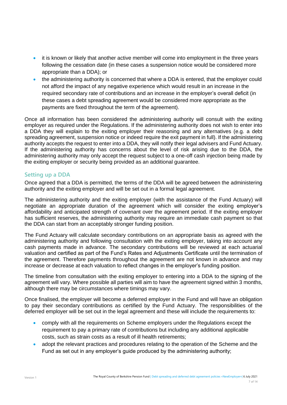- it is known or likely that another active member will come into employment in the three years following the cessation date (in these cases a suspension notice would be considered more appropriate than a DDA); or
- the administering authority is concerned that where a DDA is entered, that the employer could not afford the impact of any negative experience which would result in an increase in the required secondary rate of contributions and an increase in the employer's overall deficit (in these cases a debt spreading agreement would be considered more appropriate as the payments are fixed throughout the term of the agreement).

Once all information has been considered the administering authority will consult with the exiting employer as required under the Regulations. If the administering authority does not wish to enter into a DDA they will explain to the exiting employer their reasoning and any alternatives (e.g. a debt spreading agreement, suspension notice or indeed require the exit payment in full). If the administering authority accepts the request to enter into a DDA, they will notify their legal advisers and Fund Actuary. If the administering authority has concerns about the level of risk arising due to the DDA, the administering authority may only accept the request subject to a one-off cash injection being made by the exiting employer or security being provided as an additional guarantee.

## <span id="page-6-0"></span>**Setting up a DDA**

Once agreed that a DDA is permitted, the terms of the DDA will be agreed between the administering authority and the exiting employer and will be set out in a formal legal agreement.

The administering authority and the exiting employer (with the assistance of the Fund Actuary) will negotiate an appropriate duration of the agreement which will consider the exiting employer's affordability and anticipated strength of covenant over the agreement period. If the exiting employer has sufficient reserves, the administering authority may require an immediate cash payment so that the DDA can start from an acceptably stronger funding position.

The Fund Actuary will calculate secondary contributions on an appropriate basis as agreed with the administering authority and following consultation with the exiting employer, taking into account any cash payments made in advance. The secondary contributions will be reviewed at each actuarial valuation and certified as part of the Fund's Rates and Adjustments Certificate until the termination of the agreement. Therefore payments throughout the agreement are not known in advance and may increase or decrease at each valuation to reflect changes in the employer's funding position.

The timeline from consultation with the exiting employer to entering into a DDA to the signing of the agreement will vary. Where possible all parties will aim to have the agreement signed within 3 months, although there may be circumstances where timings may vary.

Once finalised, the employer will become a deferred employer in the Fund and will have an obligation to pay their secondary contributions as certified by the Fund Actuary. The responsibilities of the deferred employer will be set out in the legal agreement and these will include the requirements to:

- comply with all the requirements on Scheme employers under the Regulations except the requirement to pay a primary rate of contributions but including any additional applicable costs, such as strain costs as a result of ill health retirements;
- adopt the relevant practices and procedures relating to the operation of the Scheme and the Fund as set out in any employer's guide produced by the administering authority;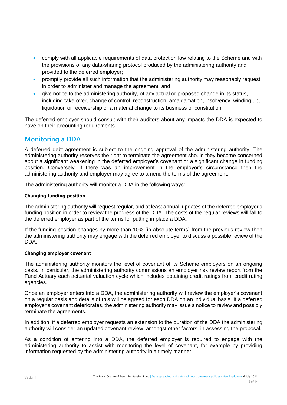- comply with all applicable requirements of data protection law relating to the Scheme and with the provisions of any data-sharing protocol produced by the administering authority and provided to the deferred employer;
- promptly provide all such information that the administering authority may reasonably request in order to administer and manage the agreement; and
- give notice to the administering authority, of any actual or proposed change in its status, including take-over, change of control, reconstruction, amalgamation, insolvency, winding up, liquidation or receivership or a material change to its business or constitution.

The deferred employer should consult with their auditors about any impacts the DDA is expected to have on their accounting requirements.

## <span id="page-7-0"></span>**Monitoring a DDA**

A deferred debt agreement is subject to the ongoing approval of the administering authority. The administering authority reserves the right to terminate the agreement should they become concerned about a significant weakening in the deferred employer's covenant or a significant change in funding position. Conversely, if there was an improvement in the employer's circumstance then the administering authority and employer may agree to amend the terms of the agreement.

The administering authority will monitor a DDA in the following ways:

### **Changing funding position**

The administering authority will request regular, and at least annual, updates of the deferred employer's funding position in order to review the progress of the DDA. The costs of the regular reviews will fall to the deferred employer as part of the terms for putting in place a DDA.

If the funding position changes by more than 10% (in absolute terms) from the previous review then the administering authority may engage with the deferred employer to discuss a possible review of the DDA.

#### **Changing employer covenant**

The administering authority monitors the level of covenant of its Scheme employers on an ongoing basis. In particular, the administering authority commissions an employer risk review report from the Fund Actuary each actuarial valuation cycle which includes obtaining credit ratings from credit rating agencies.

Once an employer enters into a DDA, the administering authority will review the employer's covenant on a regular basis and details of this will be agreed for each DDA on an individual basis. If a deferred employer's covenant deteriorates, the administering authority may issue a notice to review and possibly terminate the agreements.

In addition, if a deferred employer requests an extension to the duration of the DDA the administering authority will consider an updated covenant review, amongst other factors, in assessing the proposal.

As a condition of entering into a DDA, the deferred employer is required to engage with the administering authority to assist with monitoring the level of covenant, for example by providing information requested by the administering authority in a timely manner.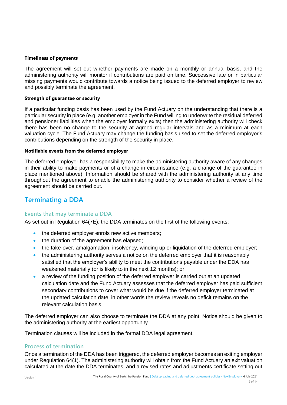#### **Timeliness of payments**

The agreement will set out whether payments are made on a monthly or annual basis, and the administering authority will monitor if contributions are paid on time. Successive late or in particular missing payments would contribute towards a notice being issued to the deferred employer to review and possibly terminate the agreement.

#### **Strength of guarantee or security**

If a particular funding basis has been used by the Fund Actuary on the understanding that there is a particular security in place (e.g. another employer in the Fund willing to underwrite the residual deferred and pensioner liabilities when the employer formally exits) then the administering authority will check there has been no change to the security at agreed regular intervals and as a minimum at each valuation cycle. The Fund Actuary may change the funding basis used to set the deferred employer's contributions depending on the strength of the security in place.

#### **Notifiable events from the deferred employer**

The deferred employer has a responsibility to make the administering authority aware of any changes in their ability to make payments or of a change in circumstance (e.g. a change of the guarantee in place mentioned above). Information should be shared with the administering authority at any time throughout the agreement to enable the administering authority to consider whether a review of the agreement should be carried out.

## <span id="page-8-0"></span>**Terminating a DDA**

## <span id="page-8-1"></span>**Events that may terminate a DDA**

As set out in Regulation 64(7E), the DDA terminates on the first of the following events:

- the deferred employer enrols new active members:
- the duration of the agreement has elapsed;
- the take-over, amalgamation, insolvency, winding up or liquidation of the deferred employer;
- the administering authority serves a notice on the deferred employer that it is reasonably satisfied that the employer's ability to meet the contributions payable under the DDA has weakened materially (or is likely to in the next 12 months); or
- a review of the funding position of the deferred employer is carried out at an updated calculation date and the Fund Actuary assesses that the deferred employer has paid sufficient secondary contributions to cover what would be due if the deferred employer terminated at the updated calculation date; in other words the review reveals no deficit remains on the relevant calculation basis.

The deferred employer can also choose to terminate the DDA at any point. Notice should be given to the administering authority at the earliest opportunity.

Termination clauses will be included in the formal DDA legal agreement.

## <span id="page-8-2"></span>**Process of termination**

Once a termination of the DDA has been triggered, the deferred employer becomes an exiting employer under Regulation 64(1). The administering authority will obtain from the Fund Actuary an exit valuation calculated at the date the DDA terminates, and a revised rates and adjustments certificate setting out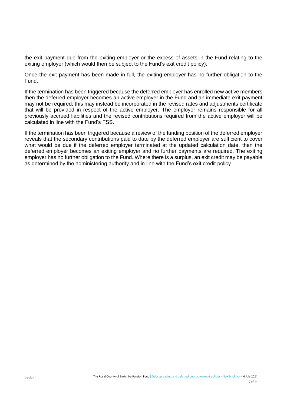the exit payment due from the exiting employer or the excess of assets in the Fund relating to the exiting employer (which would then be subject to the Fund's exit credit policy).

Once the exit payment has been made in full, the exiting employer has no further obligation to the Fund.

If the termination has been triggered because the deferred employer has enrolled new active members then the deferred employer becomes an active employer in the Fund and an immediate exit payment may not be required; this may instead be incorporated in the revised rates and adjustments certificate that will be provided in respect of the active employer. The employer remains responsible for all previously accrued liabilities and the revised contributions required from the active employer will be calculated in line with the Fund's FSS.

If the termination has been triggered because a review of the funding position of the deferred employer reveals that the secondary contributions paid to date by the deferred employer are sufficient to cover what would be due if the deferred employer terminated at the updated calculation date, then the deferred employer becomes an exiting employer and no further payments are required. The exiting employer has no further obligation to the Fund. Where there is a surplus, an exit credit may be payable as determined by the administering authority and in line with the Fund's exit credit policy.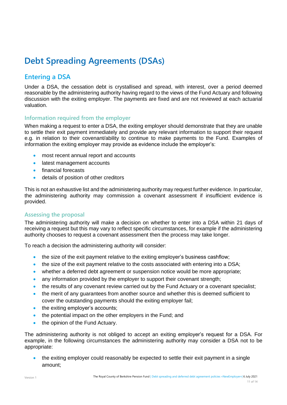## <span id="page-10-0"></span>**Debt Spreading Agreements (DSAs)**

## <span id="page-10-1"></span>**Entering a DSA**

Under a DSA, the cessation debt is crystallised and spread, with interest, over a period deemed reasonable by the administering authority having regard to the views of the Fund Actuary and following discussion with the exiting employer. The payments are fixed and are not reviewed at each actuarial valuation.

## <span id="page-10-2"></span>**Information required from the employer**

When making a request to enter a DSA, the exiting employer should demonstrate that they are unable to settle their exit payment immediately and provide any relevant information to support their request e.g. in relation to their covenant/ability to continue to make payments to the Fund. Examples of information the exiting employer may provide as evidence include the employer's:

- most recent annual report and accounts
- latest management accounts
- financial forecasts
- details of position of other creditors

This is not an exhaustive list and the administering authority may request further evidence. In particular, the administering authority may commission a covenant assessment if insufficient evidence is provided.

## <span id="page-10-3"></span>**Assessing the proposal**

The administering authority will make a decision on whether to enter into a DSA within 21 days of receiving a request but this may vary to reflect specific circumstances, for example if the administering authority chooses to request a covenant assessment then the process may take longer.

To reach a decision the administering authority will consider:

- the size of the exit payment relative to the exiting employer's business cashflow;
- the size of the exit payment relative to the costs associated with entering into a DSA;
- whether a deferred debt agreement or suspension notice would be more appropriate;
- any information provided by the employer to support their covenant strength;
- the results of any covenant review carried out by the Fund Actuary or a covenant specialist;
- the merit of any quarantees from another source and whether this is deemed sufficient to cover the outstanding payments should the exiting employer fail;
- the exiting employer's accounts;
- the potential impact on the other employers in the Fund; and
- the opinion of the Fund Actuary.

The administering authority is not obliged to accept an exiting employer's request for a DSA. For example, in the following circumstances the administering authority may consider a DSA not to be appropriate:

• the exiting employer could reasonably be expected to settle their exit payment in a single amount;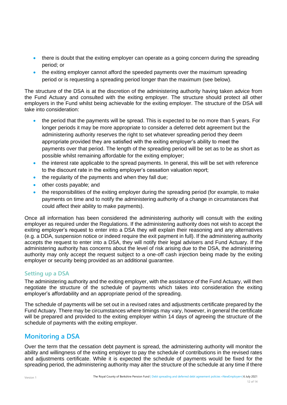- there is doubt that the exiting employer can operate as a going concern during the spreading period; or
- the exiting employer cannot afford the speeded payments over the maximum spreading period or is requesting a spreading period longer than the maximum (see below).

The structure of the DSA is at the discretion of the administering authority having taken advice from the Fund Actuary and consulted with the exiting employer. The structure should protect all other employers in the Fund whilst being achievable for the exiting employer. The structure of the DSA will take into consideration:

- the period that the payments will be spread. This is expected to be no more than 5 years. For longer periods it may be more appropriate to consider a deferred debt agreement but the administering authority reserves the right to set whatever spreading period they deem appropriate provided they are satisfied with the exiting employer's ability to meet the payments over that period. The length of the spreading period will be set as to be as short as possible whilst remaining affordable for the exiting employer;
- the interest rate applicable to the spread payments. In general, this will be set with reference to the discount rate in the exiting employer's cessation valuation report;
- the regularity of the payments and when they fall due;
- other costs payable; and
- the responsibilities of the exiting employer during the spreading period (for example, to make payments on time and to notify the administering authority of a change in circumstances that could affect their ability to make payments).

Once all information has been considered the administering authority will consult with the exiting employer as required under the Regulations. If the administering authority does not wish to accept the exiting employer's request to enter into a DSA they will explain their reasoning and any alternatives (e.g. a DDA, suspension notice or indeed require the exit payment in full). If the administering authority accepts the request to enter into a DSA, they will notify their legal advisers and Fund Actuary. If the administering authority has concerns about the level of risk arising due to the DSA, the administering authority may only accept the request subject to a one-off cash injection being made by the exiting employer or security being provided as an additional guarantee.

## <span id="page-11-0"></span>**Setting up a DSA**

The administering authority and the exiting employer, with the assistance of the Fund Actuary, will then negotiate the structure of the schedule of payments which takes into consideration the exiting employer's affordability and an appropriate period of the spreading.

The schedule of payments will be set out in a revised rates and adjustments certificate prepared by the Fund Actuary. There may be circumstances where timings may vary, however, in general the certificate will be prepared and provided to the exiting employer within 14 days of agreeing the structure of the schedule of payments with the exiting employer.

## <span id="page-11-1"></span>**Monitoring a DSA**

Over the term that the cessation debt payment is spread, the administering authority will monitor the ability and willingness of the exiting employer to pay the schedule of contributions in the revised rates and adjustments certificate. While it is expected the schedule of payments would be fixed for the spreading period, the administering authority may alter the structure of the schedule at any time if there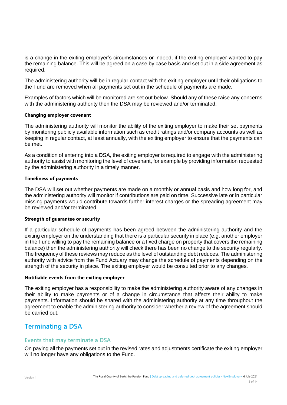is a change in the exiting employer's circumstances or indeed, if the exiting employer wanted to pay the remaining balance. This will be agreed on a case by case basis and set out in a side agreement as required.

The administering authority will be in regular contact with the exiting employer until their obligations to the Fund are removed when all payments set out in the schedule of payments are made.

Examples of factors which will be monitored are set out below. Should any of these raise any concerns with the administering authority then the DSA may be reviewed and/or terminated.

#### **Changing employer covenant**

The administering authority will monitor the ability of the exiting employer to make their set payments by monitoring publicly available information such as credit ratings and/or company accounts as well as keeping in regular contact, at least annually, with the exiting employer to ensure that the payments can be met.

As a condition of entering into a DSA, the exiting employer is required to engage with the administering authority to assist with monitoring the level of covenant, for example by providing information requested by the administering authority in a timely manner.

#### **Timeliness of payments**

The DSA will set out whether payments are made on a monthly or annual basis and how long for, and the administering authority will monitor if contributions are paid on time. Successive late or in particular missing payments would contribute towards further interest charges or the spreading agreement may be reviewed and/or terminated.

#### **Strength of guarantee or security**

If a particular schedule of payments has been agreed between the administering authority and the exiting employer on the understanding that there is a particular security in place (e.g. another employer in the Fund willing to pay the remaining balance or a fixed charge on property that covers the remaining balance) then the administering authority will check there has been no change to the security regularly. The frequency of these reviews may reduce as the level of outstanding debt reduces. The administering authority with advice from the Fund Actuary may change the schedule of payments depending on the strength of the security in place. The exiting employer would be consulted prior to any changes.

#### **Notifiable events from the exiting employer**

The exiting employer has a responsibility to make the administering authority aware of any changes in their ability to make payments or of a change in circumstance that affects their ability to make payments. Information should be shared with the administering authority at any time throughout the agreement to enable the administering authority to consider whether a review of the agreement should be carried out.

## <span id="page-12-0"></span>**Terminating a DSA**

## <span id="page-12-1"></span>**Events that may terminate a DSA**

On paying all the payments set out in the revised rates and adjustments certificate the exiting employer will no longer have any obligations to the Fund.